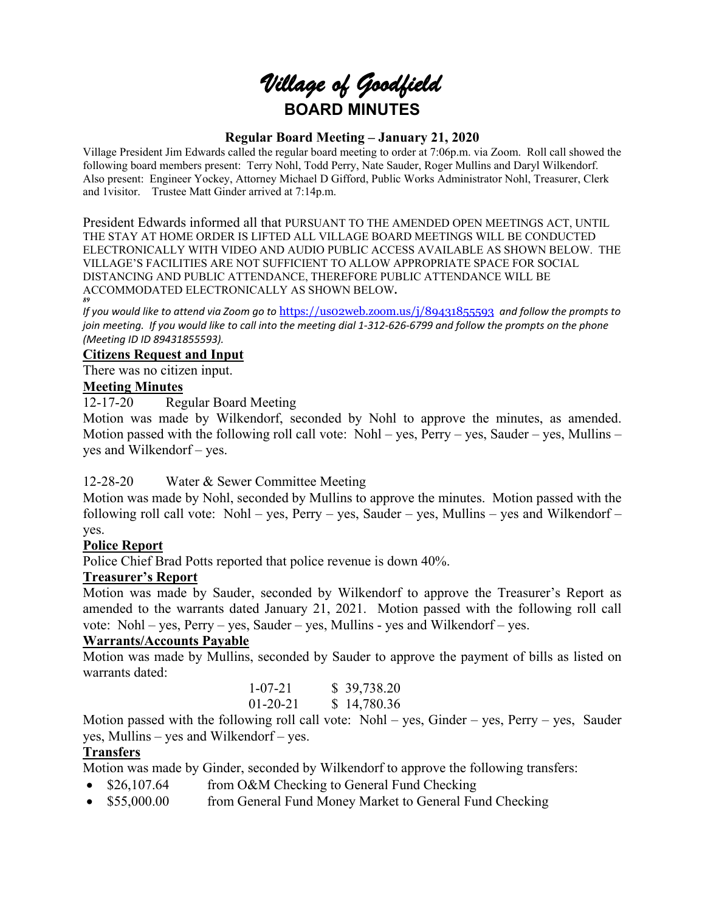# *Village of Goodfield* **BOARD MINUTES**

#### **Regular Board Meeting – January 21, 2020**

Village President Jim Edwards called the regular board meeting to order at 7:06p.m. via Zoom. Roll call showed the following board members present: Terry Nohl, Todd Perry, Nate Sauder, Roger Mullins and Daryl Wilkendorf. Also present: Engineer Yockey, Attorney Michael D Gifford, Public Works Administrator Nohl, Treasurer, Clerk and 1visitor. Trustee Matt Ginder arrived at 7:14p.m.

President Edwards informed all that PURSUANT TO THE AMENDED OPEN MEETINGS ACT, UNTIL THE STAY AT HOME ORDER IS LIFTED ALL VILLAGE BOARD MEETINGS WILL BE CONDUCTED ELECTRONICALLY WITH VIDEO AND AUDIO PUBLIC ACCESS AVAILABLE AS SHOWN BELOW. THE VILLAGE'S FACILITIES ARE NOT SUFFICIENT TO ALLOW APPROPRIATE SPACE FOR SOCIAL DISTANCING AND PUBLIC ATTENDANCE, THEREFORE PUBLIC ATTENDANCE WILL BE ACCOMMODATED ELECTRONICALLY AS SHOWN BELOW**.** *89* 

*If you would like to attend via Zoom go to* <https://us02web.zoom.us/j/89431855593> *and follow the prompts to join meeting. If you would like to call into the meeting dial 1-312-626-6799 and follow the prompts on the phone (Meeting ID ID 89431855593).*

## **Citizens Request and Input**

There was no citizen input.

#### **Meeting Minutes**

12-17-20 Regular Board Meeting

Motion was made by Wilkendorf, seconded by Nohl to approve the minutes, as amended. Motion passed with the following roll call vote: Nohl – yes, Perry – yes, Sauder – yes, Mullins – yes and Wilkendorf – yes.

## 12-28-20 Water & Sewer Committee Meeting

Motion was made by Nohl, seconded by Mullins to approve the minutes. Motion passed with the following roll call vote: Nohl – yes, Perry – yes, Sauder – yes, Mullins – yes and Wilkendorf – yes.

## **Police Report**

Police Chief Brad Potts reported that police revenue is down 40%.

## **Treasurer's Report**

Motion was made by Sauder, seconded by Wilkendorf to approve the Treasurer's Report as amended to the warrants dated January 21, 2021. Motion passed with the following roll call vote: Nohl – yes, Perry – yes, Sauder – yes, Mullins - yes and Wilkendorf – yes.

## **Warrants/Accounts Payable**

Motion was made by Mullins, seconded by Sauder to approve the payment of bills as listed on warrants dated:

|  |  | $1 - 07 - 21$ |  | \$39,738.20 |
|--|--|---------------|--|-------------|
|  |  | $01-20-21$    |  | \$14,780.36 |
|  |  |               |  |             |

Motion passed with the following roll call vote: Nohl – yes, Ginder – yes, Perry – yes, Sauder yes, Mullins – yes and Wilkendorf – yes.

## **Transfers**

Motion was made by Ginder, seconded by Wilkendorf to approve the following transfers:

- \$26,107.64 from O&M Checking to General Fund Checking
- \$55,000.00 from General Fund Money Market to General Fund Checking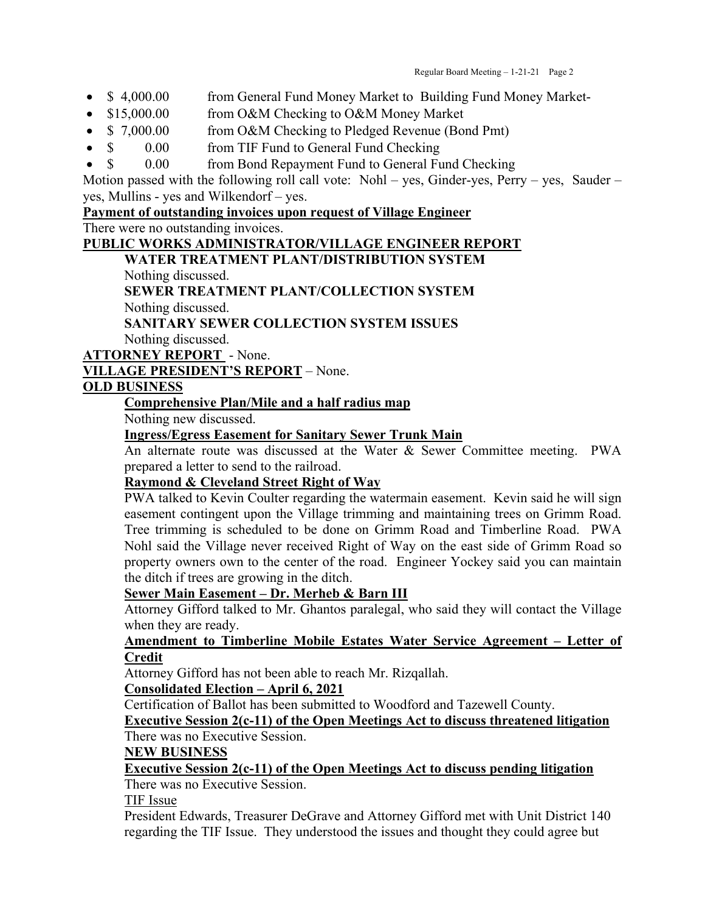- \$ 4,000.00 from General Fund Money Market to Building Fund Money Market-
- \$15,000.00 from O&M Checking to O&M Money Market
- \$ 7,000.00 from O&M Checking to Pledged Revenue (Bond Pmt)
- \$ 0.00 from TIF Fund to General Fund Checking
- \$ 0.00 from Bond Repayment Fund to General Fund Checking

Motion passed with the following roll call vote: Nohl – yes, Ginder-yes, Perry – yes, Sauder – yes, Mullins - yes and Wilkendorf – yes.

## **Payment of outstanding invoices upon request of Village Engineer**

There were no outstanding invoices.

#### **PUBLIC WORKS ADMINISTRATOR/VILLAGE ENGINEER REPORT**

**WATER TREATMENT PLANT/DISTRIBUTION SYSTEM**

Nothing discussed.

**SEWER TREATMENT PLANT/COLLECTION SYSTEM** Nothing discussed.

**SANITARY SEWER COLLECTION SYSTEM ISSUES** Nothing discussed.

**ATTORNEY REPORT** - None.

**VILLAGE PRESIDENT'S REPORT** – None.

## **OLD BUSINESS**

## **Comprehensive Plan/Mile and a half radius map**

Nothing new discussed.

## **Ingress/Egress Easement for Sanitary Sewer Trunk Main**

An alternate route was discussed at the Water  $\&$  Sewer Committee meeting. PWA prepared a letter to send to the railroad.

## **Raymond & Cleveland Street Right of Way**

PWA talked to Kevin Coulter regarding the watermain easement. Kevin said he will sign easement contingent upon the Village trimming and maintaining trees on Grimm Road. Tree trimming is scheduled to be done on Grimm Road and Timberline Road. PWA Nohl said the Village never received Right of Way on the east side of Grimm Road so property owners own to the center of the road. Engineer Yockey said you can maintain the ditch if trees are growing in the ditch.

## **Sewer Main Easement – Dr. Merheb & Barn III**

Attorney Gifford talked to Mr. Ghantos paralegal, who said they will contact the Village when they are ready.

## **Amendment to Timberline Mobile Estates Water Service Agreement – Letter of Credit**

Attorney Gifford has not been able to reach Mr. Rizqallah.

## **Consolidated Election – April 6, 2021**

Certification of Ballot has been submitted to Woodford and Tazewell County.

## **Executive Session 2(c-11) of the Open Meetings Act to discuss threatened litigation**

## There was no Executive Session.

## **NEW BUSINESS**

## **Executive Session 2(c-11) of the Open Meetings Act to discuss pending litigation**

There was no Executive Session.

TIF Issue

President Edwards, Treasurer DeGrave and Attorney Gifford met with Unit District 140 regarding the TIF Issue. They understood the issues and thought they could agree but